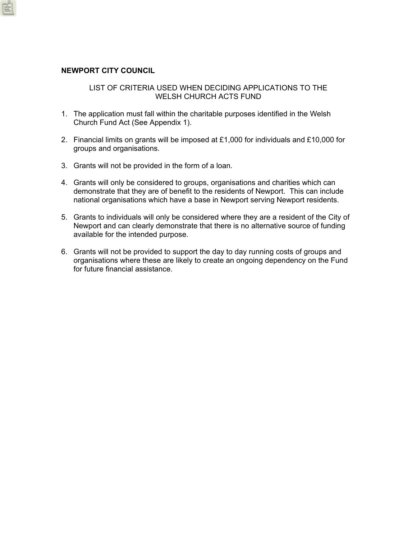## **NEWPORT CITY COUNCIL**

### LIST OF CRITERIA USED WHEN DECIDING APPLICATIONS TO THE WELSH CHURCH ACTS FUND

- 1. The application must fall within the charitable purposes identified in the Welsh Church Fund Act (See Appendix 1).
- 2. Financial limits on grants will be imposed at £1,000 for individuals and £10,000 for groups and organisations.
- 3. Grants will not be provided in the form of a loan.
- 4. Grants will only be considered to groups, organisations and charities which can demonstrate that they are of benefit to the residents of Newport. This can include national organisations which have a base in Newport serving Newport residents.
- 5. Grants to individuals will only be considered where they are a resident of the City of Newport and can clearly demonstrate that there is no alternative source of funding available for the intended purpose.
- 6. Grants will not be provided to support the day to day running costs of groups and organisations where these are likely to create an ongoing dependency on the Fund for future financial assistance.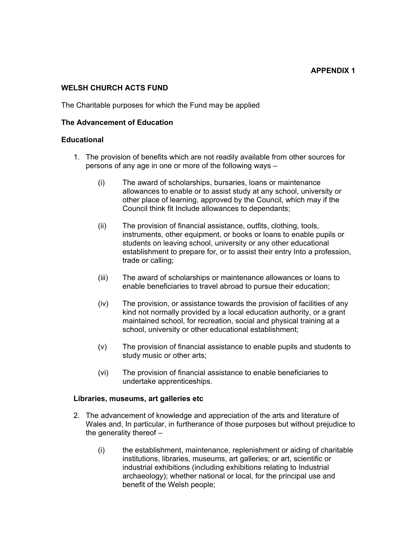## **WELSH CHURCH ACTS FUND**

The Charitable purposes for which the Fund may be applied

### **The Advancement of Education**

### **Educational**

- 1. The provision of benefits which are not readily available from other sources for persons of any age in one or more of the following ways –
	- (i) The award of scholarships, bursaries, loans or maintenance allowances to enable or to assist study at any school, university or other place of learning, approved by the Council, which may if the Council think fit Include allowances to dependants;
	- (ii) The provision of financial assistance, outfits, clothing, tools, instruments, other equipment, or books or loans to enable pupils or students on leaving school, university or any other educational establishment to prepare for, or to assist their entry Into a profession, trade or calling;
	- (iii) The award of scholarships or maintenance allowances or loans to enable beneficiaries to travel abroad to pursue their education;
	- (iv) The provision, or assistance towards the provision of facilities of any kind not normally provided by a local education authority, or a grant maintained school, for recreation, social and physical training at a school, university or other educational establishment;
	- (v) The provision of financial assistance to enable pupils and students to study music or other arts;
	- (vi) The provision of financial assistance to enable beneficiaries to undertake apprenticeships.

### **Libraries, museums, art galleries etc**

- 2. The advancement of knowledge and appreciation of the arts and literature of Wales and, In particular, in furtherance of those purposes but without prejudice to the generality thereof –
	- (i) the establishment, maintenance, replenishment or aiding of charitable institutions, libraries, museums, art galleries; or art, scientific or industrial exhibitions (including exhibitions relating to Industrial archaeology); whether national or local, for the principal use and benefit of the Welsh people;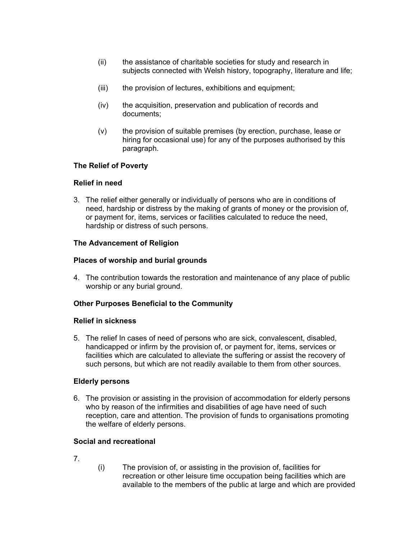- (ii) the assistance of charitable societies for study and research in subjects connected with Welsh history, topography, literature and life;
- (iii) the provision of lectures, exhibitions and equipment;
- (iv) the acquisition, preservation and publication of records and documents;
- (v) the provision of suitable premises (by erection, purchase, lease or hiring for occasional use) for any of the purposes authorised by this paragraph.

# **The Relief of Poverty**

### **Relief in need**

3. The relief either generally or individually of persons who are in conditions of need, hardship or distress by the making of grants of money or the provision of, or payment for, items, services or facilities calculated to reduce the need, hardship or distress of such persons.

## **The Advancement of Religion**

## **Places of worship and burial grounds**

4. The contribution towards the restoration and maintenance of any place of public worship or any burial ground.

# **Other Purposes Beneficial to the Community**

### **Relief in sickness**

5. The relief In cases of need of persons who are sick, convalescent, disabled, handicapped or infirm by the provision of, or payment for, items, services or facilities which are calculated to alleviate the suffering or assist the recovery of such persons, but which are not readily available to them from other sources.

### **Elderly persons**

6. The provision or assisting in the provision of accommodation for elderly persons who by reason of the infirmities and disabilities of age have need of such reception, care and attention. The provision of funds to organisations promoting the welfare of elderly persons.

### **Social and recreational**

- 7.
- (i) The provision of, or assisting in the provision of, facilities for recreation or other leisure time occupation being facilities which are available to the members of the public at large and which are provided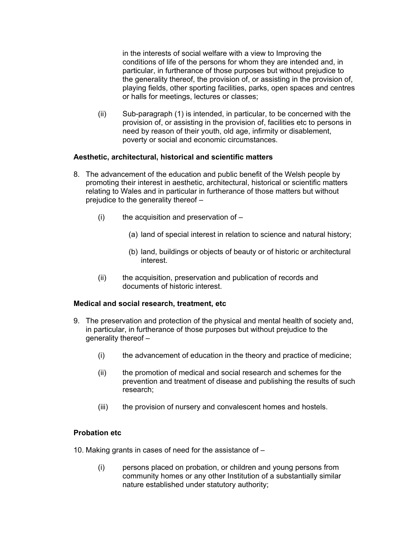in the interests of social welfare with a view to Improving the conditions of life of the persons for whom they are intended and, in particular, in furtherance of those purposes but without prejudice to the generality thereof, the provision of, or assisting in the provision of, playing fields, other sporting facilities, parks, open spaces and centres or halls for meetings, lectures or classes;

(ii) Sub-paragraph (1) is intended, in particular, to be concerned with the provision of, or assisting in the provision of, facilities etc to persons in need by reason of their youth, old age, infirmity or disablement, poverty or social and economic circumstances.

# **Aesthetic, architectural, historical and scientific matters**

- 8. The advancement of the education and public benefit of the Welsh people by promoting their interest in aesthetic, architectural, historical or scientific matters relating to Wales and in particular in furtherance of those matters but without prejudice to the generality thereof –
	- $(i)$  the acquisition and preservation of
		- (a) land of special interest in relation to science and natural history;
		- (b) land, buildings or objects of beauty or of historic or architectural interest.
	- (ii) the acquisition, preservation and publication of records and documents of historic interest.

### **Medical and social research, treatment, etc**

- 9. The preservation and protection of the physical and mental health of society and, in particular, in furtherance of those purposes but without prejudice to the generality thereof –
	- (i) the advancement of education in the theory and practice of medicine;
	- (ii) the promotion of medical and social research and schemes for the prevention and treatment of disease and publishing the results of such research;
	- (iii) the provision of nursery and convalescent homes and hostels.

# **Probation etc**

- 10. Making grants in cases of need for the assistance of
	- (i) persons placed on probation, or children and young persons from community homes or any other Institution of a substantially similar nature established under statutory authority;